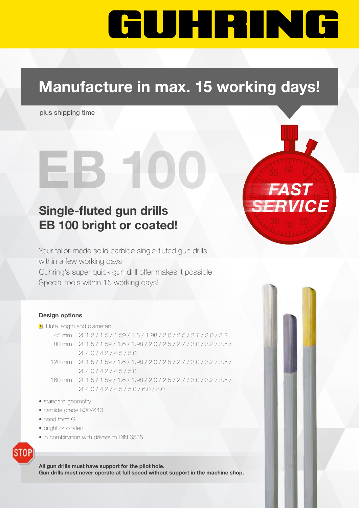# GUHRING

50

40

**VICE** 

10

## Manufacture in max. 15 working days!

EB 100 655

plus shipping time

## Single-fluted gun drills EB 100 bright or coated!

Your tailor-made solid carbide single-fluted gun drills within a few working days: Guhring's super quick gun drill offer makes it possible. Special tools within 15 working days!

#### Design options

#### **F** Flute length and diameter:

- 45 mm Ø 1.2 / 1.5 / 1.59 / 1.6 / 1.98 / 2.0 / 2.5 / 2.7 / 3.0 / 3.2 80 mm Ø 1.5 / 1.59 / 1.6 / 1.98 / 2.0 / 2.5 / 2.7 / 3.0 / 3.2 / 3.5 / Ø 4.0 / 4.2 / 4.5 / 5.0
- 120 mm Ø 1.5 / 1.59 / 1.6 / 1.98 / 2.0 / 2.5 / 2.7 / 3.0 / 3.2 / 3.5 /  $\varnothing$  4.0 / 4.2 / 4.5 / 5.0
- 160 mm Ø 1.5 / 1.59 / 1.6 / 1.98 / 2.0 / 2.5 / 2.7 / 3.0 / 3.2 / 3.5 / Ø 4.0 / 4.2 / 4.5 / 5.0 / 6.0 / 8.0
- standard geometry
- carbide grade K30/K40
- head form G
- bright or coated
- in combination with drivers to DIN 6535



All gun drills must have support for the pilot hole. Gun drills must never operate at full speed without support in the machine shop.